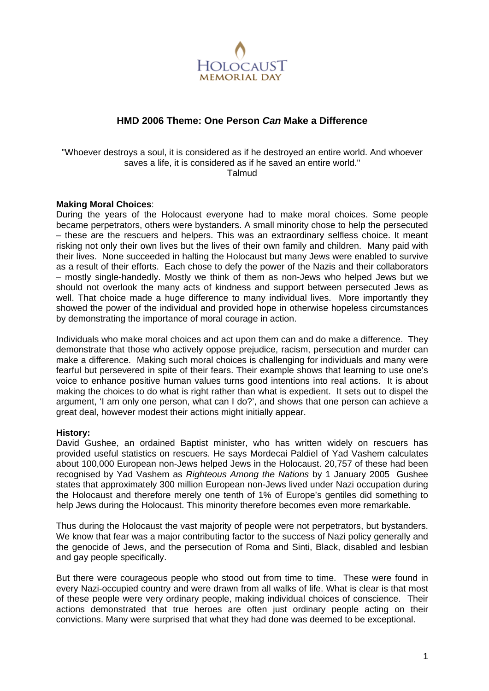

# **HMD 2006 Theme: One Person** *Can* **Make a Difference**

### "Whoever destroys a soul, it is considered as if he destroyed an entire world. And whoever saves a life, it is considered as if he saved an entire world." Talmud

### **Making Moral Choices**:

During the years of the Holocaust everyone had to make moral choices. Some people became perpetrators, others were bystanders. A small minority chose to help the persecuted – these are the rescuers and helpers. This was an extraordinary selfless choice. It meant risking not only their own lives but the lives of their own family and children. Many paid with their lives. None succeeded in halting the Holocaust but many Jews were enabled to survive as a result of their efforts. Each chose to defy the power of the Nazis and their collaborators – mostly single-handedly. Mostly we think of them as non-Jews who helped Jews but we should not overlook the many acts of kindness and support between persecuted Jews as well. That choice made a huge difference to many individual lives. More importantly they showed the power of the individual and provided hope in otherwise hopeless circumstances by demonstrating the importance of moral courage in action.

Individuals who make moral choices and act upon them can and do make a difference. They demonstrate that those who actively oppose prejudice, racism, persecution and murder can make a difference. Making such moral choices is challenging for individuals and many were fearful but persevered in spite of their fears. Their example shows that learning to use one's voice to enhance positive human values turns good intentions into real actions. It is about making the choices to do what is right rather than what is expedient. It sets out to dispel the argument, 'I am only one person, what can I do?', and shows that one person can achieve a great deal, however modest their actions might initially appear.

#### **History:**

David Gushee, an ordained Baptist minister, who has written widely on rescuers has provided useful statistics on rescuers. He says Mordecai Paldiel of Yad Vashem calculates about 100,000 European non-Jews helped Jews in the Holocaust. 20,757 of these had been recognised by Yad Vashem as *Righteous Among the Nations* by 1 January 2005 Gushee states that approximately 300 million European non-Jews lived under Nazi occupation during the Holocaust and therefore merely one tenth of 1% of Europe's gentiles did something to help Jews during the Holocaust. This minority therefore becomes even more remarkable.

Thus during the Holocaust the vast majority of people were not perpetrators, but bystanders. We know that fear was a major contributing factor to the success of Nazi policy generally and the genocide of Jews, and the persecution of Roma and Sinti, Black, disabled and lesbian and gay people specifically.

But there were courageous people who stood out from time to time. These were found in every Nazi-occupied country and were drawn from all walks of life. What is clear is that most of these people were very ordinary people, making individual choices of conscience. Their actions demonstrated that true heroes are often just ordinary people acting on their convictions. Many were surprised that what they had done was deemed to be exceptional.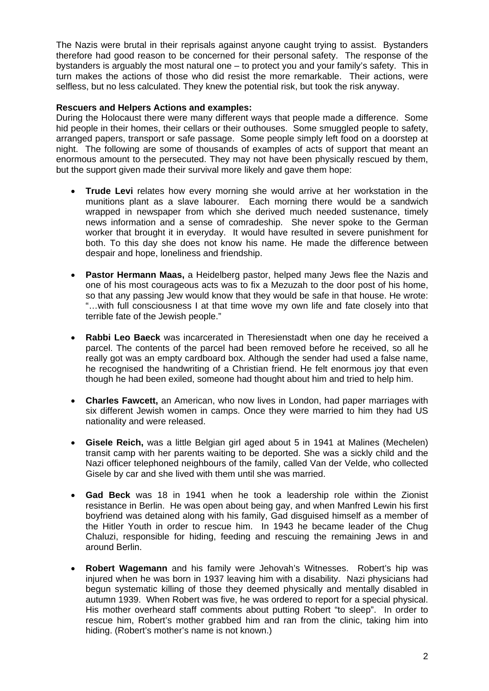The Nazis were brutal in their reprisals against anyone caught trying to assist. Bystanders therefore had good reason to be concerned for their personal safety. The response of the bystanders is arguably the most natural one – to protect you and your family's safety. This in turn makes the actions of those who did resist the more remarkable. Their actions, were selfless, but no less calculated. They knew the potential risk, but took the risk anyway.

## **Rescuers and Helpers Actions and examples:**

During the Holocaust there were many different ways that people made a difference. Some hid people in their homes, their cellars or their outhouses. Some smuggled people to safety, arranged papers, transport or safe passage. Some people simply left food on a doorstep at night. The following are some of thousands of examples of acts of support that meant an enormous amount to the persecuted. They may not have been physically rescued by them, but the support given made their survival more likely and gave them hope:

- **Trude Levi** relates how every morning she would arrive at her workstation in the munitions plant as a slave labourer. Each morning there would be a sandwich wrapped in newspaper from which she derived much needed sustenance, timely news information and a sense of comradeship. She never spoke to the German worker that brought it in everyday. It would have resulted in severe punishment for both. To this day she does not know his name. He made the difference between despair and hope, loneliness and friendship.
- **Pastor Hermann Maas,** a Heidelberg pastor, helped many Jews flee the Nazis and one of his most courageous acts was to fix a Mezuzah to the door post of his home, so that any passing Jew would know that they would be safe in that house. He wrote: "…with full consciousness I at that time wove my own life and fate closely into that terrible fate of the Jewish people."
- **Rabbi Leo Baeck** was incarcerated in Theresienstadt when one day he received a parcel. The contents of the parcel had been removed before he received, so all he really got was an empty cardboard box. Although the sender had used a false name, he recognised the handwriting of a Christian friend. He felt enormous joy that even though he had been exiled, someone had thought about him and tried to help him.
- **Charles Fawcett,** an American, who now lives in London, had paper marriages with six different Jewish women in camps. Once they were married to him they had US nationality and were released.
- **Gisele Reich,** was a little Belgian girl aged about 5 in 1941 at Malines (Mechelen) transit camp with her parents waiting to be deported. She was a sickly child and the Nazi officer telephoned neighbours of the family, called Van der Velde, who collected Gisele by car and she lived with them until she was married.
- **Gad Beck** was 18 in 1941 when he took a leadership role within the Zionist resistance in Berlin. He was open about being gay, and when Manfred Lewin his first boyfriend was detained along with his family, Gad disguised himself as a member of the Hitler Youth in order to rescue him. In 1943 he became leader of the Chug Chaluzi, responsible for hiding, feeding and rescuing the remaining Jews in and around Berlin.
- **Robert Wagemann** and his family were Jehovah's Witnesses. Robert's hip was injured when he was born in 1937 leaving him with a disability. Nazi physicians had begun systematic killing of those they deemed physically and mentally disabled in autumn 1939. When Robert was five, he was ordered to report for a special physical. His mother overheard staff comments about putting Robert "to sleep". In order to rescue him, Robert's mother grabbed him and ran from the clinic, taking him into hiding. (Robert's mother's name is not known.)